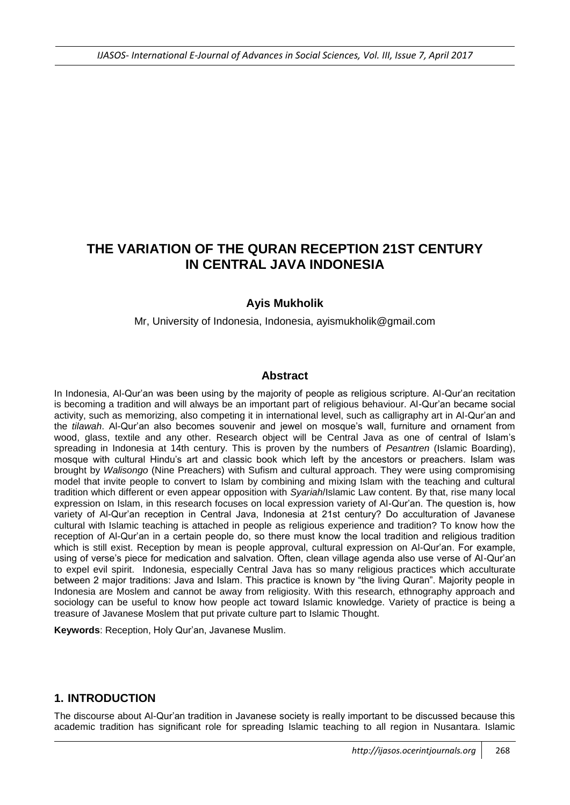# **THE VARIATION OF THE QURAN RECEPTION 21ST CENTURY IN CENTRAL JAVA INDONESIA**

# **Ayis Mukholik**

Mr, University of Indonesia, Indonesia, ayismukholik@gmail.com

### **Abstract**

In Indonesia, Al-Qur'an was been using by the majority of people as religious scripture. Al-Qur'an recitation is becoming a tradition and will always be an important part of religious behaviour. Al-Qur'an became social activity, such as memorizing, also competing it in international level, such as calligraphy art in Al-Qur'an and the *tilawah*. Al-Qur'an also becomes souvenir and jewel on mosque's wall, furniture and ornament from wood, glass, textile and any other. Research object will be Central Java as one of central of Islam's spreading in Indonesia at 14th century. This is proven by the numbers of *Pesantren* (Islamic Boarding), mosque with cultural Hindu's art and classic book which left by the ancestors or preachers. Islam was brought by *Walisongo* (Nine Preachers) with Sufism and cultural approach. They were using compromising model that invite people to convert to Islam by combining and mixing Islam with the teaching and cultural tradition which different or even appear opposition with *Syariah*/Islamic Law content. By that, rise many local expression on Islam, in this research focuses on local expression variety of Al-Qur'an. The question is, how variety of Al-Qur'an reception in Central Java, Indonesia at 21st century? Do acculturation of Javanese cultural with Islamic teaching is attached in people as religious experience and tradition? To know how the reception of Al-Qur'an in a certain people do, so there must know the local tradition and religious tradition which is still exist. Reception by mean is people approval, cultural expression on Al-Qur'an. For example, using of verse's piece for medication and salvation. Often, clean village agenda also use verse of Al-Qur'an to expel evil spirit. Indonesia, especially Central Java has so many religious practices which acculturate between 2 major traditions: Java and Islam. This practice is known by "the living Quran". Majority people in Indonesia are Moslem and cannot be away from religiosity. With this research, ethnography approach and sociology can be useful to know how people act toward Islamic knowledge. Variety of practice is being a treasure of Javanese Moslem that put private culture part to Islamic Thought.

**Keywords**: Reception, Holy Qur'an, Javanese Muslim.

### **1. INTRODUCTION**

The discourse about Al-Qur'an tradition in Javanese society is really important to be discussed because this academic tradition has significant role for spreading Islamic teaching to all region in Nusantara. Islamic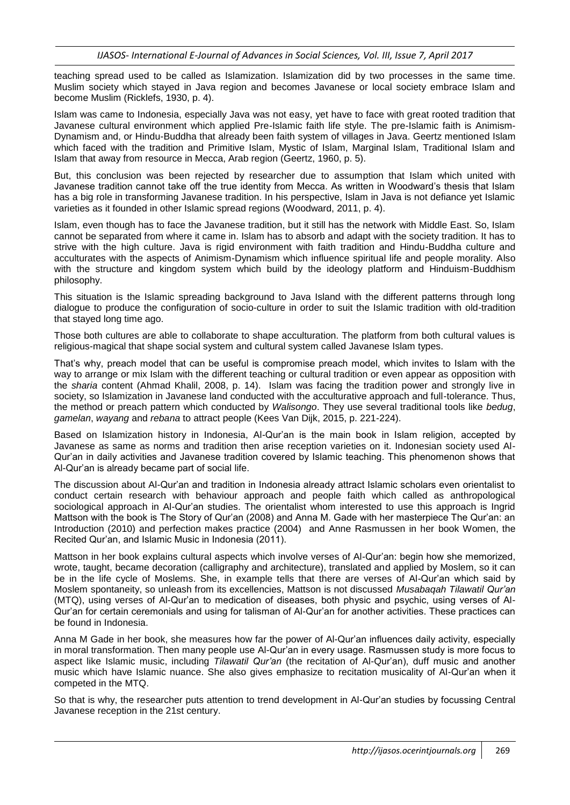teaching spread used to be called as Islamization. Islamization did by two processes in the same time. Muslim society which stayed in Java region and becomes Javanese or local society embrace Islam and become Muslim (Ricklefs, 1930, p. 4).

Islam was came to Indonesia, especially Java was not easy, yet have to face with great rooted tradition that Javanese cultural environment which applied Pre-Islamic faith life style. The pre-Islamic faith is Animism-Dynamism and, or Hindu-Buddha that already been faith system of villages in Java. Geertz mentioned Islam which faced with the tradition and Primitive Islam, Mystic of Islam, Marginal Islam, Traditional Islam and Islam that away from resource in Mecca, Arab region (Geertz, 1960, p. 5).

But, this conclusion was been rejected by researcher due to assumption that Islam which united with Javanese tradition cannot take off the true identity from Mecca. As written in Woodward's thesis that Islam has a big role in transforming Javanese tradition. In his perspective, Islam in Java is not defiance yet Islamic varieties as it founded in other Islamic spread regions (Woodward, 2011, p. 4).

Islam, even though has to face the Javanese tradition, but it still has the network with Middle East. So, Islam cannot be separated from where it came in. Islam has to absorb and adapt with the society tradition. It has to strive with the high culture. Java is rigid environment with faith tradition and Hindu-Buddha culture and acculturates with the aspects of Animism-Dynamism which influence spiritual life and people morality. Also with the structure and kingdom system which build by the ideology platform and Hinduism-Buddhism philosophy.

This situation is the Islamic spreading background to Java Island with the different patterns through long dialogue to produce the configuration of socio-culture in order to suit the Islamic tradition with old-tradition that stayed long time ago.

Those both cultures are able to collaborate to shape acculturation. The platform from both cultural values is religious-magical that shape social system and cultural system called Javanese Islam types.

That's why, preach model that can be useful is compromise preach model, which invites to Islam with the way to arrange or mix Islam with the different teaching or cultural tradition or even appear as opposition with the *sharia* content (Ahmad Khalil, 2008, p. 14). Islam was facing the tradition power and strongly live in society, so Islamization in Javanese land conducted with the acculturative approach and full-tolerance. Thus, the method or preach pattern which conducted by *Walisongo*. They use several traditional tools like *bedug*, *gamelan*, *wayang* and *rebana* to attract people (Kees Van Dijk, 2015, p. 221-224).

Based on Islamization history in Indonesia, Al-Qur'an is the main book in Islam religion, accepted by Javanese as same as norms and tradition then arise reception varieties on it. Indonesian society used Al-Qur'an in daily activities and Javanese tradition covered by Islamic teaching. This phenomenon shows that Al-Qur'an is already became part of social life.

The discussion about Al-Qur'an and tradition in Indonesia already attract Islamic scholars even orientalist to conduct certain research with behaviour approach and people faith which called as anthropological sociological approach in Al-Qur'an studies. The orientalist whom interested to use this approach is Ingrid Mattson with the book is The Story of Qur'an (2008) and Anna M. Gade with her masterpiece The Qur'an: an Introduction (2010) and perfection makes practice (2004) and Anne Rasmussen in her book Women, the Recited Qur'an, and Islamic Music in Indonesia (2011).

Mattson in her book explains cultural aspects which involve verses of Al-Qur'an: begin how she memorized, wrote, taught, became decoration (calligraphy and architecture), translated and applied by Moslem, so it can be in the life cycle of Moslems. She, in example tells that there are verses of Al-Qur'an which said by Moslem spontaneity, so unleash from its excellencies, Mattson is not discussed *Musabaqah Tilawatil Qur'an* (MTQ), using verses of Al-Qur'an to medication of diseases, both physic and psychic, using verses of Al-Qur'an for certain ceremonials and using for talisman of Al-Qur'an for another activities. These practices can be found in Indonesia.

Anna M Gade in her book, she measures how far the power of Al-Qur'an influences daily activity, especially in moral transformation. Then many people use Al-Qur'an in every usage. Rasmussen study is more focus to aspect like Islamic music, including *Tilawatil Qur'an* (the recitation of Al-Qur'an), duff music and another music which have Islamic nuance. She also gives emphasize to recitation musicality of Al-Qur'an when it competed in the MTQ.

So that is why, the researcher puts attention to trend development in Al-Qur'an studies by focussing Central Javanese reception in the 21st century.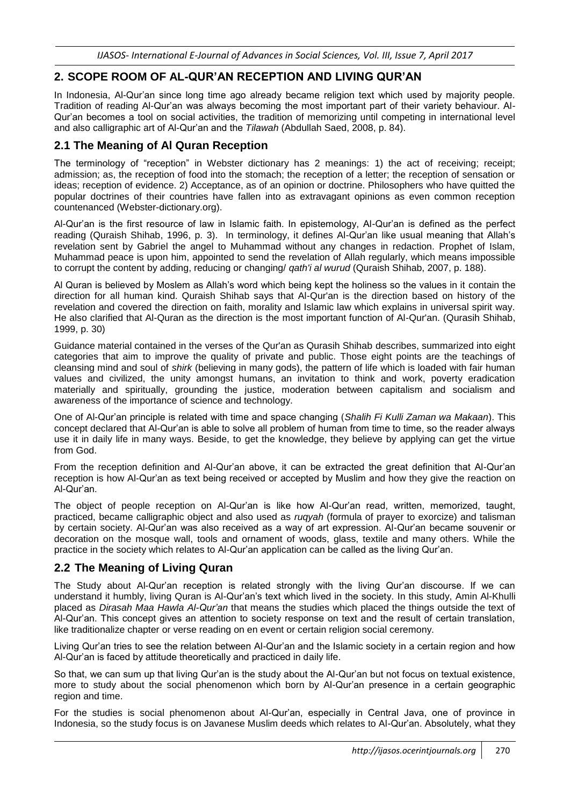# **2. SCOPE ROOM OF AL-QUR'AN RECEPTION AND LIVING QUR'AN**

In Indonesia, Al-Qur'an since long time ago already became religion text which used by majority people. Tradition of reading Al-Qur'an was always becoming the most important part of their variety behaviour. Al-Qur'an becomes a tool on social activities, the tradition of memorizing until competing in international level and also calligraphic art of Al-Qur'an and the *Tilawah* (Abdullah Saed, 2008, p. 84).

# **2.1 The Meaning of Al Quran Reception**

The terminology of "reception" in Webster dictionary has 2 meanings: 1) the act of receiving; receipt; admission; as, the reception of food into the stomach; the reception of a letter; the reception of sensation or ideas; reception of evidence. 2) Acceptance, as of an opinion or doctrine. Philosophers who have quitted the popular doctrines of their countries have fallen into as extravagant opinions as even common reception countenanced (Webster-dictionary.org).

Al-Qur'an is the first resource of law in Islamic faith. In epistemology, Al-Qur'an is defined as the perfect reading (Quraish Shihab, 1996, p. 3). In terminology, it defines Al-Qur'an like usual meaning that Allah's revelation sent by Gabriel the angel to Muhammad without any changes in redaction. Prophet of Islam, Muhammad peace is upon him, appointed to send the revelation of Allah regularly, which means impossible to corrupt the content by adding, reducing or changing/ *qath'i al wurud* (Quraish Shihab, 2007, p. 188).

Al Quran is believed by Moslem as Allah's word which being kept the holiness so the values in it contain the direction for all human kind. Quraish Shihab says that Al-Qur'an is the direction based on history of the revelation and covered the direction on faith, morality and Islamic law which explains in universal spirit way. He also clarified that Al-Quran as the direction is the most important function of Al-Qur'an. (Qurasih Shihab, 1999, p. 30)

Guidance material contained in the verses of the Qur'an as Qurasih Shihab describes, summarized into eight categories that aim to improve the quality of private and public. Those eight points are the teachings of cleansing mind and soul of *shirk* (believing in many gods), the pattern of life which is loaded with fair human values and civilized, the unity amongst humans, an invitation to think and work, poverty eradication materially and spiritually, grounding the justice, moderation between capitalism and socialism and awareness of the importance of science and technology.

One of Al-Qur'an principle is related with time and space changing (*Shalih Fi Kulli Zaman wa Makaan*). This concept declared that Al-Qur'an is able to solve all problem of human from time to time, so the reader always use it in daily life in many ways. Beside, to get the knowledge, they believe by applying can get the virtue from God.

From the reception definition and Al-Qur'an above, it can be extracted the great definition that Al-Qur'an reception is how Al-Qur'an as text being received or accepted by Muslim and how they give the reaction on Al-Qur'an.

The object of people reception on Al-Qur'an is like how Al-Qur'an read, written, memorized, taught, practiced, became calligraphic object and also used as *ruqyah* (formula of prayer to exorcize) and talisman by certain society. Al-Qur'an was also received as a way of art expression. Al-Qur'an became souvenir or decoration on the mosque wall, tools and ornament of woods, glass, textile and many others. While the practice in the society which relates to Al-Qur'an application can be called as the living Qur'an.

# **2.2 The Meaning of Living Quran**

The Study about Al-Qur'an reception is related strongly with the living Qur'an discourse. If we can understand it humbly, living Quran is Al-Qur'an's text which lived in the society. In this study, Amin Al-Khulli placed as *Dirasah Maa Hawla Al-Qur'an* that means the studies which placed the things outside the text of Al-Qur'an. This concept gives an attention to society response on text and the result of certain translation, like traditionalize chapter or verse reading on en event or certain religion social ceremony.

Living Qur'an tries to see the relation between Al-Qur'an and the Islamic society in a certain region and how Al-Qur'an is faced by attitude theoretically and practiced in daily life.

So that, we can sum up that living Qur'an is the study about the Al-Qur'an but not focus on textual existence, more to study about the social phenomenon which born by Al-Qur'an presence in a certain geographic region and time.

For the studies is social phenomenon about Al-Qur'an, especially in Central Java, one of province in Indonesia, so the study focus is on Javanese Muslim deeds which relates to Al-Qur'an. Absolutely, what they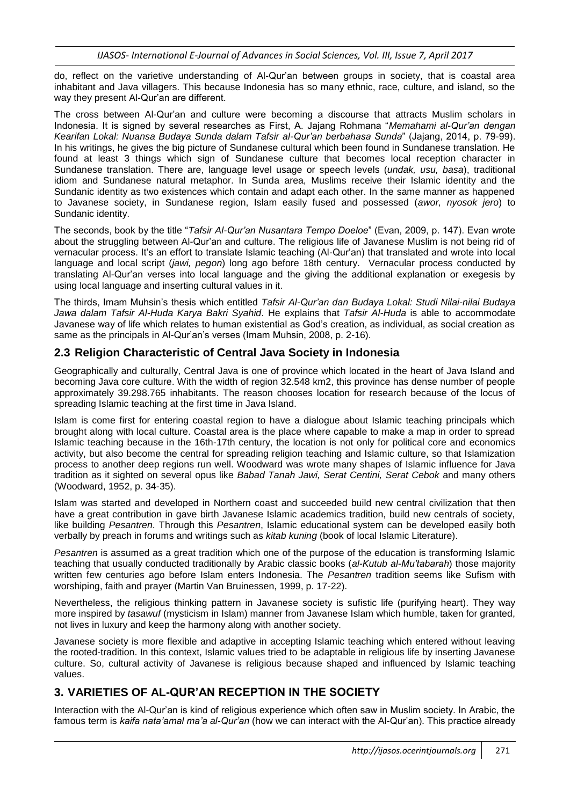do, reflect on the varietive understanding of Al-Qur'an between groups in society, that is coastal area inhabitant and Java villagers. This because Indonesia has so many ethnic, race, culture, and island, so the way they present Al-Qur'an are different.

The cross between Al-Qur'an and culture were becoming a discourse that attracts Muslim scholars in Indonesia. It is signed by several researches as First, A. Jajang Rohmana "*Memahami al-Qur'an dengan Kearifan Lokal: Nuansa Budaya Sunda dalam Tafsir al-Qur'an berbahasa Sunda*" (Jajang, 2014, p. 79-99). In his writings, he gives the big picture of Sundanese cultural which been found in Sundanese translation. He found at least 3 things which sign of Sundanese culture that becomes local reception character in Sundanese translation. There are, language level usage or speech levels (*undak, usu, basa*), traditional idiom and Sundanese natural metaphor. In Sunda area, Muslims receive their Islamic identity and the Sundanic identity as two existences which contain and adapt each other. In the same manner as happened to Javanese society, in Sundanese region, Islam easily fused and possessed (*awor, nyosok jero*) to Sundanic identity.

The seconds, book by the title "*Tafsir Al-Qur'an Nusantara Tempo Doeloe*" (Evan, 2009, p. 147). Evan wrote about the struggling between Al-Qur'an and culture. The religious life of Javanese Muslim is not being rid of vernacular process. It's an effort to translate Islamic teaching (Al-Qur'an) that translated and wrote into local language and local script (*jawi, pegon*) long ago before 18th century. Vernacular process conducted by translating Al-Qur'an verses into local language and the giving the additional explanation or exegesis by using local language and inserting cultural values in it.

The thirds, Imam Muhsin's thesis which entitled *Tafsir Al-Qur'an dan Budaya Lokal: Studi Nilai-nilai Budaya Jawa dalam Tafsir Al-Huda Karya Bakri Syahid*. He explains that *Tafsir Al-Huda* is able to accommodate Javanese way of life which relates to human existential as God's creation, as individual, as social creation as same as the principals in Al-Qur'an's verses (Imam Muhsin, 2008, p. 2-16).

# **2.3 Religion Characteristic of Central Java Society in Indonesia**

Geographically and culturally, Central Java is one of province which located in the heart of Java Island and becoming Java core culture. With the width of region 32.548 km2, this province has dense number of people approximately 39.298.765 inhabitants. The reason chooses location for research because of the locus of spreading Islamic teaching at the first time in Java Island.

Islam is come first for entering coastal region to have a dialogue about Islamic teaching principals which brought along with local culture. Coastal area is the place where capable to make a map in order to spread Islamic teaching because in the 16th-17th century, the location is not only for political core and economics activity, but also become the central for spreading religion teaching and Islamic culture, so that Islamization process to another deep regions run well. Woodward was wrote many shapes of Islamic influence for Java tradition as it sighted on several opus like *Babad Tanah Jawi, Serat Centini, Serat Cebok* and many others (Woodward, 1952, p. 34-35).

Islam was started and developed in Northern coast and succeeded build new central civilization that then have a great contribution in gave birth Javanese Islamic academics tradition, build new centrals of society, like building *Pesantren*. Through this *Pesantren*, Islamic educational system can be developed easily both verbally by preach in forums and writings such as *kitab kuning* (book of local Islamic Literature).

*Pesantren* is assumed as a great tradition which one of the purpose of the education is transforming Islamic teaching that usually conducted traditionally by Arabic classic books (*al-Kutub al-Mu'tabarah*) those majority written few centuries ago before Islam enters Indonesia. The *Pesantren* tradition seems like Sufism with worshiping, faith and prayer (Martin Van Bruinessen, 1999, p. 17-22).

Nevertheless, the religious thinking pattern in Javanese society is sufistic life (purifying heart). They way more inspired by *tasawuf* (mysticism in Islam) manner from Javanese Islam which humble, taken for granted, not lives in luxury and keep the harmony along with another society.

Javanese society is more flexible and adaptive in accepting Islamic teaching which entered without leaving the rooted-tradition. In this context, Islamic values tried to be adaptable in religious life by inserting Javanese culture. So, cultural activity of Javanese is religious because shaped and influenced by Islamic teaching values.

# **3. VARIETIES OF AL-QUR'AN RECEPTION IN THE SOCIETY**

Interaction with the Al-Qur'an is kind of religious experience which often saw in Muslim society. In Arabic, the famous term is *kaifa nata'amal ma'a al-Qur'an* (how we can interact with the Al-Qur'an). This practice already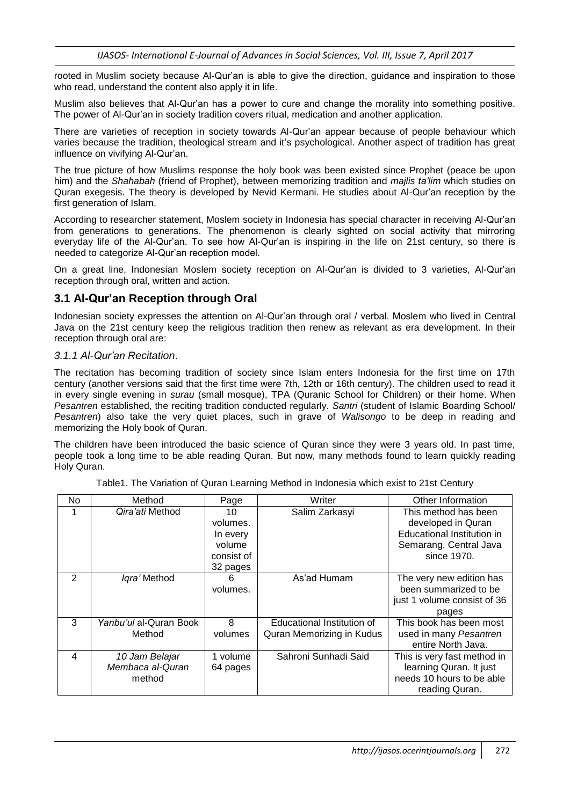rooted in Muslim society because Al-Qur'an is able to give the direction, guidance and inspiration to those who read, understand the content also apply it in life.

Muslim also believes that Al-Qur'an has a power to cure and change the morality into something positive. The power of Al-Qur'an in society tradition covers ritual, medication and another application.

There are varieties of reception in society towards Al-Qur'an appear because of people behaviour which varies because the tradition, theological stream and it's psychological. Another aspect of tradition has great influence on vivifying Al-Qur'an.

The true picture of how Muslims response the holy book was been existed since Prophet (peace be upon him) and the *Shahabah* (friend of Prophet), between memorizing tradition and *majlis ta'lim* which studies on Quran exegesis. The theory is developed by Nevid Kermani. He studies about Al-Qur'an reception by the first generation of Islam.

According to researcher statement, Moslem society in Indonesia has special character in receiving Al-Qur'an from generations to generations. The phenomenon is clearly sighted on social activity that mirroring everyday life of the Al-Qur'an. To see how Al-Qur'an is inspiring in the life on 21st century, so there is needed to categorize Al-Qur'an reception model.

On a great line, Indonesian Moslem society reception on Al-Qur'an is divided to 3 varieties, Al-Qur'an reception through oral, written and action.

### **3.1 Al-Qur'an Reception through Oral**

Indonesian society expresses the attention on Al-Qur'an through oral / verbal. Moslem who lived in Central Java on the 21st century keep the religious tradition then renew as relevant as era development. In their reception through oral are:

#### *3.1.1 Al-Qur'an Recitation*.

The recitation has becoming tradition of society since Islam enters Indonesia for the first time on 17th century (another versions said that the first time were 7th, 12th or 16th century). The children used to read it in every single evening in *surau* (small mosque), TPA (Quranic School for Children) or their home. When *Pesantren* established, the reciting tradition conducted regularly. *Santri* (student of Islamic Boarding School/ *Pesantren*) also take the very quiet places, such in grave of *Walisongo* to be deep in reading and memorizing the Holy book of Quran.

The children have been introduced the basic science of Quran since they were 3 years old. In past time, people took a long time to be able reading Quran. But now, many methods found to learn quickly reading Holy Quran.

| No | Method                                       | Page                                                           | Writer                                                  | Other Information                                                                                                 |
|----|----------------------------------------------|----------------------------------------------------------------|---------------------------------------------------------|-------------------------------------------------------------------------------------------------------------------|
| 1  | Qira'ati Method                              | 10<br>volumes.<br>In every<br>volume<br>consist of<br>32 pages | Salim Zarkasyi                                          | This method has been<br>developed in Quran<br>Educational Institution in<br>Semarang, Central Java<br>since 1970. |
| 2  | Igra' Method                                 | 6<br>volumes.                                                  | As'ad Humam                                             | The very new edition has<br>been summarized to be<br>just 1 volume consist of 36<br>pages                         |
| 3  | Yanbu'ul al-Quran Book<br>Method             | 8<br>volumes                                                   | Educational Institution of<br>Quran Memorizing in Kudus | This book has been most<br>used in many Pesantren<br>entire North Java.                                           |
| 4  | 10 Jam Belajar<br>Membaca al-Quran<br>method | 1 volume<br>64 pages                                           | Sahroni Sunhadi Said                                    | This is very fast method in<br>learning Quran. It just<br>needs 10 hours to be able<br>reading Quran.             |

Table1. The Variation of Quran Learning Method in Indonesia which exist to 21st Century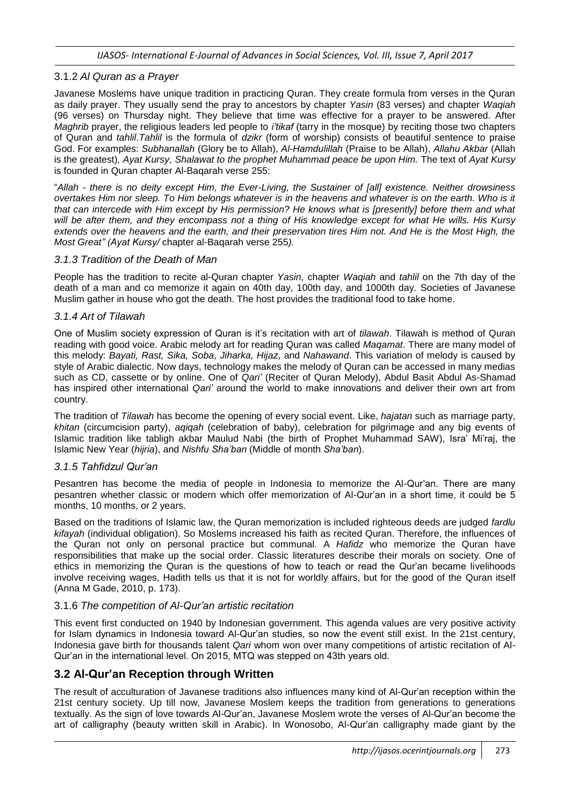#### 3.1.2 *Al Quran as a Prayer*

Javanese Moslems have unique tradition in practicing Quran. They create formula from verses in the Quran as daily prayer. They usually send the pray to ancestors by chapter *Yasin* (83 verses) and chapter *Waqiah* (96 verses) on Thursday night. They believe that time was effective for a prayer to be answered. After *Maghrib* prayer, the religious leaders led people to *i'tikaf* (tarry in the mosque) by reciting those two chapters of Quran and *tahlil*.*Tahlil* is the formula of *dzikr* (form of worship) consists of beautiful sentence to praise God. For examples: *Subhanallah* (Glory be to Allah), *Al*-*Hamdulillah* (Praise to be Allah), *Allahu Akbar* (Allah is the greatest), Ayat Kursy, Shalawat to the prophet Muhammad peace be upon Him. The text of Ayat Kursy is founded in Quran chapter Al-Baqarah verse 255:

"*Allah - there is no deity except Him, the Ever-Living, the Sustainer of [all] existence. Neither drowsiness overtakes Him nor sleep. To Him belongs whatever is in the heavens and whatever is on the earth. Who is it that can intercede with Him except by His permission? He knows what is [presently] before them and what will be after them, and they encompass not a thing of His knowledge except for what He wills. His Kursy extends over the heavens and the earth, and their preservation tires Him not. And He is the Most High, the Most Great" (Ayat Kursy/* chapter al-Baqarah verse 255*).*

#### *3.1.3 Tradition of the Death of Man*

People has the tradition to recite al-Quran chapter *Yasin*, chapter *Waqiah* and *tahlil* on the 7th day of the death of a man and co memorize it again on 40th day, 100th day, and 1000th day. Societies of Javanese Muslim gather in house who got the death. The host provides the traditional food to take home.

#### *3.1.4 Art of Tilawah*

One of Muslim society expression of Quran is it's recitation with art of *tilawah*. Tilawah is method of Quran reading with good voice. Arabic melody art for reading Quran was called *Maqamat*. There are many model of this melody: *Bayati, Rast, Sika, Soba*, *Jiharka, Hijaz*, and *Nahawand*. This variation of melody is caused by style of Arabic dialectic. Now days, technology makes the melody of Quran can be accessed in many medias such as CD, cassette or by online. One of *Qari'* (Reciter of Quran Melody), Abdul Basit Abdul As-Shamad has inspired other international *Qari'* around the world to make innovations and deliver their own art from country.

The tradition of *Tilawah* has become the opening of every social event. Like, *hajatan* such as marriage party, *khitan* (circumcision party), *aqiqah* (celebration of baby), celebration for pilgrimage and any big events of Islamic tradition like tabligh akbar Maulud Nabi (the birth of Prophet Muhammad SAW), Isra' Mi'raj, the Islamic New Year (*hijria*), and *Nishfu Sha'ban* (Middle of month *Sha'ban*).

#### *3.1.5 Tahfidzul Qur'an*

Pesantren has become the media of people in Indonesia to memorize the Al-Qur'an. There are many pesantren whether classic or modern which offer memorization of Al-Qur'an in a short time, it could be 5 months, 10 months, or 2 years.

Based on the traditions of Islamic law, the Quran memorization is included righteous deeds are judged *fardlu kifayah* (individual obligation). So Moslems increased his faith as recited Quran. Therefore, the influences of the Quran not only on personal practice but communal. A *Hafidz* who memorize the Quran have responsibilities that make up the social order. Classic literatures describe their morals on society. One of ethics in memorizing the Quran is the questions of how to teach or read the Qur'an became livelihoods involve receiving wages, Hadith tells us that it is not for worldly affairs, but for the good of the Quran itself (Anna M Gade, 2010, p. 173).

#### 3.1.6 *The competition of Al-Qur'an artistic recitation*

This event first conducted on 1940 by Indonesian government. This agenda values are very positive activity for Islam dynamics in Indonesia toward Al-Qur'an studies, so now the event still exist. In the 21st century, Indonesia gave birth for thousands talent *Qari* whom won over many competitions of artistic recitation of Al-Qur'an in the international level. On 2015, MTQ was stepped on 43th years old.

### **3.2 Al-Qur'an Reception through Written**

The result of acculturation of Javanese traditions also influences many kind of Al-Qur'an reception within the 21st century society. Up till now, Javanese Moslem keeps the tradition from generations to generations textually. As the sign of love towards Al-Qur'an, Javanese Moslem wrote the verses of Al-Qur'an become the art of calligraphy (beauty written skill in Arabic). In Wonosobo, Al-Qur'an calligraphy made giant by the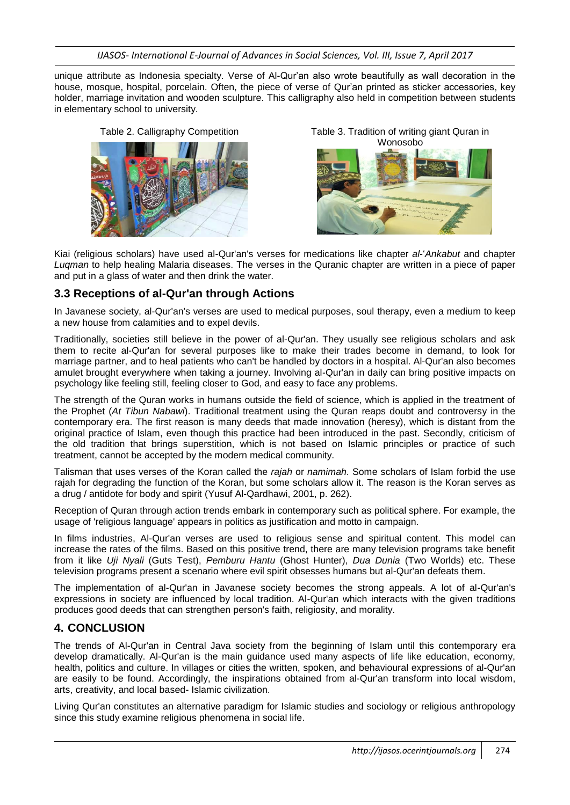*IJASOS- International E-Journal of Advances in Social Sciences, Vol. III, Issue 7, April 2017*

unique attribute as Indonesia specialty. Verse of Al-Qur'an also wrote beautifully as wall decoration in the house, mosque, hospital, porcelain. Often, the piece of verse of Qur'an printed as sticker accessories, key holder, marriage invitation and wooden sculpture. This calligraphy also held in competition between students in elementary school to university.





Kiai (religious scholars) have used al-Qur'an's verses for medications like chapter *al*-'*Ankabut* and chapter *Luqman* to help healing Malaria diseases. The verses in the Quranic chapter are written in a piece of paper and put in a glass of water and then drink the water.

# **3.3 Receptions of al-Qur'an through Actions**

In Javanese society, al-Qur'an's verses are used to medical purposes, soul therapy, even a medium to keep a new house from calamities and to expel devils.

Traditionally, societies still believe in the power of al-Qur'an. They usually see religious scholars and ask them to recite al-Qur'an for several purposes like to make their trades become in demand, to look for marriage partner, and to heal patients who can't be handled by doctors in a hospital. Al-Qur'an also becomes amulet brought everywhere when taking a journey. Involving al-Qur'an in daily can bring positive impacts on psychology like feeling still, feeling closer to God, and easy to face any problems.

The strength of the Quran works in humans outside the field of science, which is applied in the treatment of the Prophet (*At Tibun Nabawi*). Traditional treatment using the Quran reaps doubt and controversy in the contemporary era. The first reason is many deeds that made innovation (heresy), which is distant from the original practice of Islam, even though this practice had been introduced in the past. Secondly, criticism of the old tradition that brings superstition, which is not based on Islamic principles or practice of such treatment, cannot be accepted by the modern medical community.

Talisman that uses verses of the Koran called the *rajah* or *namimah*. Some scholars of Islam forbid the use rajah for degrading the function of the Koran, but some scholars allow it. The reason is the Koran serves as a drug / antidote for body and spirit (Yusuf Al-Qardhawi, 2001, p. 262).

Reception of Quran through action trends embark in contemporary such as political sphere. For example, the usage of 'religious language' appears in politics as justification and motto in campaign.

In films industries, Al-Qur'an verses are used to religious sense and spiritual content. This model can increase the rates of the films. Based on this positive trend, there are many television programs take benefit from it like *Uji Nyali* (Guts Test), *Pemburu Hantu* (Ghost Hunter), *Dua Dunia* (Two Worlds) etc. These television programs present a scenario where evil spirit obsesses humans but al-Qur'an defeats them.

The implementation of al-Qur'an in Javanese society becomes the strong appeals. A lot of al-Qur'an's expressions in society are influenced by local tradition. Al-Qur'an which interacts with the given traditions produces good deeds that can strengthen person's faith, religiosity, and morality.

# **4. CONCLUSION**

The trends of Al-Qur'an in Central Java society from the beginning of Islam until this contemporary era develop dramatically. Al-Qur'an is the main guidance used many aspects of life like education, economy, health, politics and culture. In villages or cities the written, spoken, and behavioural expressions of al-Qur'an are easily to be found. Accordingly, the inspirations obtained from al-Qur'an transform into local wisdom, arts, creativity, and local based- Islamic civilization.

Living Qur'an constitutes an alternative paradigm for Islamic studies and sociology or religious anthropology since this study examine religious phenomena in social life.